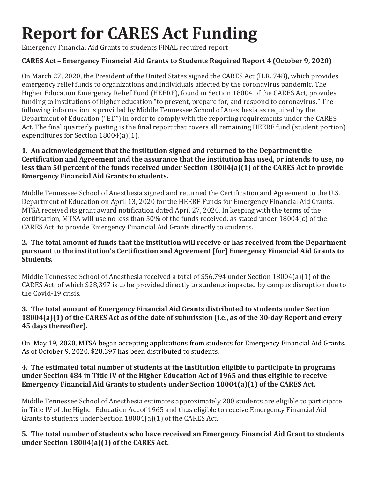# **Report for CARES Act Funding**

Emergency Financial Aid Grants to students FINAL required report

# **CARES Act – Emergency Financial Aid Grants to Students Required Report 4 (October 9, 2020)**

On March 27, 2020, the President of the United States signed the CARES Act (H.R. 748), which provides emergency relief funds to organizations and individuals affected by the coronavirus pandemic. The Higher Education Emergency Relief Fund (HEERF), found in Section 18004 of the CARES Act, provides funding to institutions of higher education "to prevent, prepare for, and respond to coronavirus." The following information is provided by Middle Tennessee School of Anesthesia as required by the Department of Education ("ED") in order to comply with the reporting requirements under the CARES Act. The final quarterly posting is the final report that covers all remaining HEERF fund (student portion) expenditures for Section 18004(a)(1).

### **1. An acknowledgement that the institution signed and returned to the Department the Certification and Agreement and the assurance that the institution has used, or intends to use, no less than 50 percent of the funds received under Section 18004(a)(1) of the CARES Act to provide Emergency Financial Aid Grants to students.**

Middle Tennessee School of Anesthesia signed and returned the Certification and Agreement to the U.S. Department of Education on April 13, 2020 for the HEERF Funds for Emergency Financial Aid Grants. MTSA received its grant award notification dated April 27, 2020. In keeping with the terms of the certification, MTSA will use no less than 50% of the funds received, as stated under 18004(c) of the CARES Act, to provide Emergency Financial Aid Grants directly to students.

# **2. The total amount of funds that the institution will receive or has received from the Department pursuant to the institution's Certification and Agreement [for] Emergency Financial Aid Grants to Students.**

Middle Tennessee School of Anesthesia received a total of \$56,794 under Section 18004(a)(1) of the CARES Act, of which \$28,397 is to be provided directly to students impacted by campus disruption due to the Covid-19 crisis.

# **3. The total amount of Emergency Financial Aid Grants distributed to students under Section 18004(a)(1) of the CARES Act as of the date of submission (i.e., as of the 30-day Report and every 45 days thereafter).**

On May 19, 2020, MTSA began accepting applications from students for Emergency Financial Aid Grants. As of October 9, 2020, \$28,397 has been distributed to students.

# **4. The estimated total number of students at the institution eligible to participate in programs under Section 484 in Title IV of the Higher Education Act of 1965 and thus eligible to receive Emergency Financial Aid Grants to students under Section 18004(a)(1) of the CARES Act.**

Middle Tennessee School of Anesthesia estimates approximately 200 students are eligible to participate in Title IV of the Higher Education Act of 1965 and thus eligible to receive Emergency Financial Aid Grants to students under Section 18004(a)(1) of the CARES Act.

# **5. The total number of students who have received an Emergency Financial Aid Grant to students under Section 18004(a)(1) of the CARES Act.**